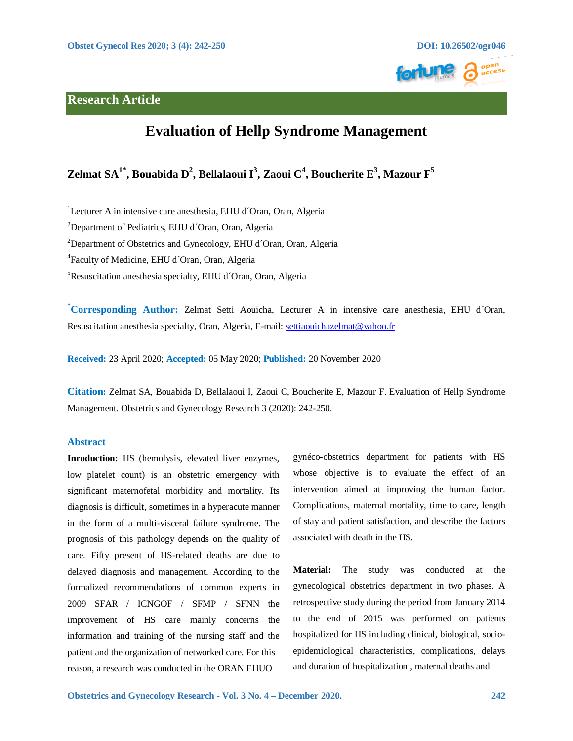

# **Research Article**

# **Evaluation of Hellp Syndrome Management**

# $\mathbf{Z}$ elmat SA $^{1^*}$ , Bouabida D $^2$ , Bellalaoui I $^3$ , Zaoui C $^4$ , Boucherite E $^3$ , Mazour F $^5$

<sup>1</sup>Lecturer A in intensive care anesthesia, EHU d'Oran, Oran, Algeria

<sup>2</sup>Department of Pediatrics, EHU d'Oran, Oran, Algeria

<sup>2</sup>Department of Obstetrics and Gynecology, EHU d'Oran, Oran, Algeria

4 Faculty of Medicine, EHU d´Oran, Oran, Algeria

5 Resuscitation anesthesia specialty, EHU d´Oran, Oran, Algeria

**\* Corresponding Author:** Zelmat Setti Aouicha, Lecturer A in intensive care anesthesia, EHU d´Oran, Resuscitation anesthesia specialty, Oran, Algeria, E-mail: [settiaouichazelmat@yahoo.fr](mailto:settiaouichazelmat@yahoo.fr) 

**Received:** 23 April 2020; **Accepted:** 05 May 2020; **Published:** 20 November 2020

**Citation:** Zelmat SA, Bouabida D, Bellalaoui I, Zaoui C, Boucherite E, Mazour F. Evaluation of Hellp Syndrome Management. Obstetrics and Gynecology Research 3 (2020): 242-250.

# **Abstract**

**Inroduction:** HS (hemolysis, elevated liver enzymes, low platelet count) is an obstetric emergency with significant maternofetal morbidity and mortality. Its diagnosis is difficult, sometimes in a hyperacute manner in the form of a multi-visceral failure syndrome. The prognosis of this pathology depends on the quality of care. Fifty present of HS-related deaths are due to delayed diagnosis and management. According to the formalized recommendations of common experts in 2009 SFAR / ICNGOF / SFMP / SFNN the improvement of HS care mainly concerns the information and training of the nursing staff and the patient and the organization of networked care. For this reason, a research was conducted in the ORAN EHUO

gynéco-obstetrics department for patients with HS whose objective is to evaluate the effect of an intervention aimed at improving the human factor. Complications, maternal mortality, time to care, length of stay and patient satisfaction, and describe the factors associated with death in the HS.

**Material:** The study was conducted at the gynecological obstetrics department in two phases. A retrospective study during the period from January 2014 to the end of 2015 was performed on patients hospitalized for HS including clinical, biological, socioepidemiological characteristics, complications, delays and duration of hospitalization , maternal deaths and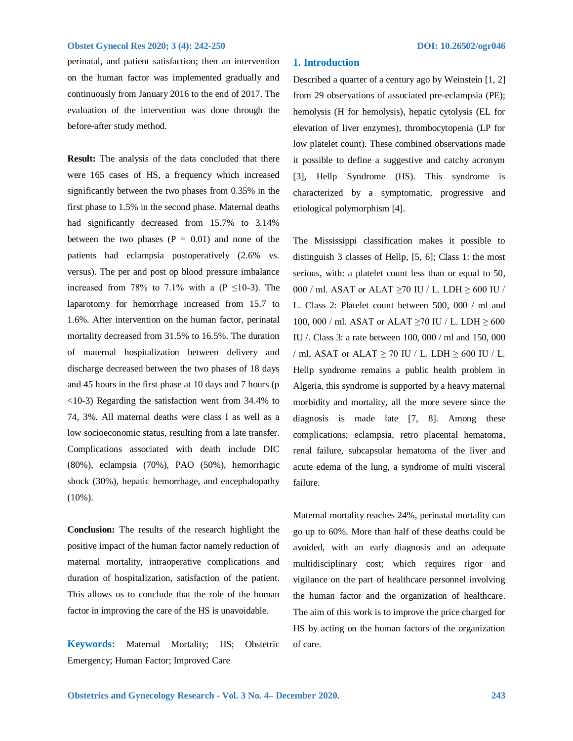perinatal, and patient satisfaction; then an intervention on the human factor was implemented gradually and continuously from January 2016 to the end of 2017. The evaluation of the intervention was done through the before-after study method.

**Result:** The analysis of the data concluded that there were 165 cases of HS, a frequency which increased significantly between the two phases from 0.35% in the first phase to 1.5% in the second phase. Maternal deaths had significantly decreased from 15.7% to 3.14% between the two phases  $(P = 0.01)$  and none of the patients had eclampsia postoperatively (2.6% vs. versus). The per and post op blood pressure imbalance increased from 78% to 7.1% with a (P  $\leq$ 10-3). The laparotomy for hemorrhage increased from 15.7 to 1.6%. After intervention on the human factor, perinatal mortality decreased from 31.5% to 16.5%. The duration of maternal hospitalization between delivery and discharge decreased between the two phases of 18 days and 45 hours in the first phase at 10 days and 7 hours (p <10-3) Regarding the satisfaction went from 34.4% to 74, 3%. All maternal deaths were class I as well as a low socioeconomic status, resulting from a late transfer. Complications associated with death include DIC (80%), eclampsia (70%), PAO (50%), hemorrhagic shock (30%), hepatic hemorrhage, and encephalopathy (10%).

**Conclusion:** The results of the research highlight the positive impact of the human factor namely reduction of maternal mortality, intraoperative complications and duration of hospitalization, satisfaction of the patient. This allows us to conclude that the role of the human factor in improving the care of the HS is unavoidable.

**Keywords:** Maternal Mortality; HS; Obstetric Emergency; Human Factor; Improved Care

## **1. Introduction**

Described a quarter of a century ago by Weinstein [1, 2] from 29 observations of associated pre-eclampsia (PE); hemolysis (H for hemolysis), hepatic cytolysis (EL for elevation of liver enzymes), thrombocytopenia (LP for low platelet count). These combined observations made it possible to define a suggestive and catchy acronym [3], Hellp Syndrome (HS). This syndrome is characterized by a symptomatic, progressive and etiological polymorphism [4].

The Mississippi classification makes it possible to distinguish 3 classes of Hellp, [5, 6]; Class 1: the most serious, with: a platelet count less than or equal to 50, 000 / ml. ASAT or ALAT  $\geq$ 70 IU / L. LDH  $\geq$  600 IU / L. Class 2: Platelet count between 500, 000 / ml and 100, 000 / ml. ASAT or ALAT  $\geq$ 70 IU / L. LDH  $\geq$  600 IU /. Class 3: a rate between 100, 000 / ml and 150, 000 / ml, ASAT or ALAT  $\geq$  70 IU / L. LDH  $\geq$  600 IU / L. Hellp syndrome remains a public health problem in Algeria, this syndrome is supported by a heavy maternal morbidity and mortality, all the more severe since the diagnosis is made late [7, 8]. Among these complications; eclampsia, retro placental hematoma, renal failure, subcapsular hematoma of the liver and acute edema of the lung, a syndrome of multi visceral failure.

Maternal mortality reaches 24%, perinatal mortality can go up to 60%. More than half of these deaths could be avoided, with an early diagnosis and an adequate multidisciplinary cost; which requires rigor and vigilance on the part of healthcare personnel involving the human factor and the organization of healthcare. The aim of this work is to improve the price charged for HS by acting on the human factors of the organization of care.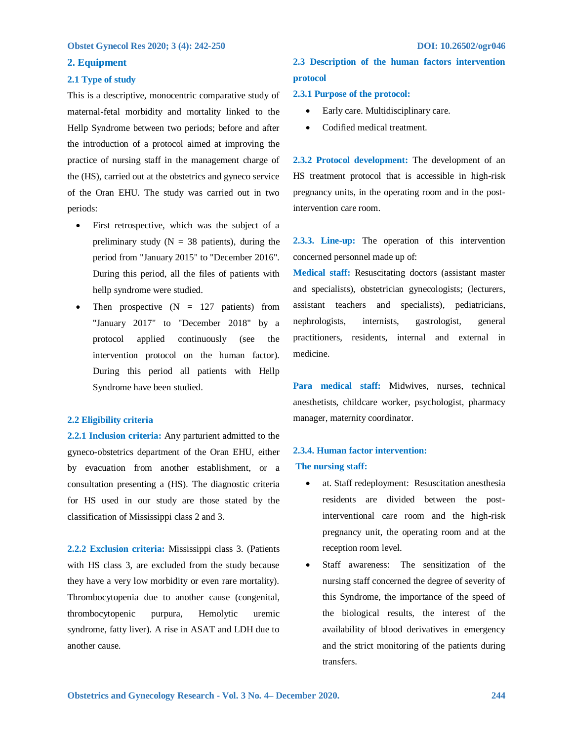## **2. Equipment**

## **2.1 Type of study**

This is a descriptive, monocentric comparative study of maternal-fetal morbidity and mortality linked to the Hellp Syndrome between two periods; before and after the introduction of a protocol aimed at improving the practice of nursing staff in the management charge of the (HS), carried out at the obstetrics and gyneco service of the Oran EHU. The study was carried out in two periods:

- First retrospective, which was the subject of a preliminary study ( $N = 38$  patients), during the period from "January 2015" to "December 2016". During this period, all the files of patients with hellp syndrome were studied.
- Then prospective  $(N = 127$  patients) from "January 2017" to "December 2018" by a protocol applied continuously (see the intervention protocol on the human factor). During this period all patients with Hellp Syndrome have been studied.

# **2.2 Eligibility criteria**

**2.2.1 Inclusion criteria:** Any parturient admitted to the gyneco-obstetrics department of the Oran EHU, either by evacuation from another establishment, or a consultation presenting a (HS). The diagnostic criteria for HS used in our study are those stated by the classification of Mississippi class 2 and 3.

**2.2.2 Exclusion criteria:** Mississippi class 3. (Patients with HS class 3, are excluded from the study because they have a very low morbidity or even rare mortality). Thrombocytopenia due to another cause (congenital, thrombocytopenic purpura, Hemolytic uremic syndrome, fatty liver). A rise in ASAT and LDH due to another cause.

# **2.3 Description of the human factors intervention protocol**

### **2.3.1 Purpose of the protocol:**

- Early care. Multidisciplinary care.
- Codified medical treatment.

**2.3.2 Protocol development:** The development of an HS treatment protocol that is accessible in high-risk pregnancy units, in the operating room and in the postintervention care room.

**2.3.3. Line-up:** The operation of this intervention concerned personnel made up of:

**Medical staff:** Resuscitating doctors (assistant master and specialists), obstetrician gynecologists; (lecturers, assistant teachers and specialists), pediatricians, nephrologists, internists, gastrologist, general practitioners, residents, internal and external in medicine.

**Para medical staff:** Midwives, nurses, technical anesthetists, childcare worker, psychologist, pharmacy manager, maternity coordinator.

# **2.3.4. Human factor intervention: The nursing staff:**

- at. Staff redeployment: Resuscitation anesthesia residents are divided between the postinterventional care room and the high-risk pregnancy unit, the operating room and at the reception room level.
- Staff awareness: The sensitization of the nursing staff concerned the degree of severity of this Syndrome, the importance of the speed of the biological results, the interest of the availability of blood derivatives in emergency and the strict monitoring of the patients during transfers.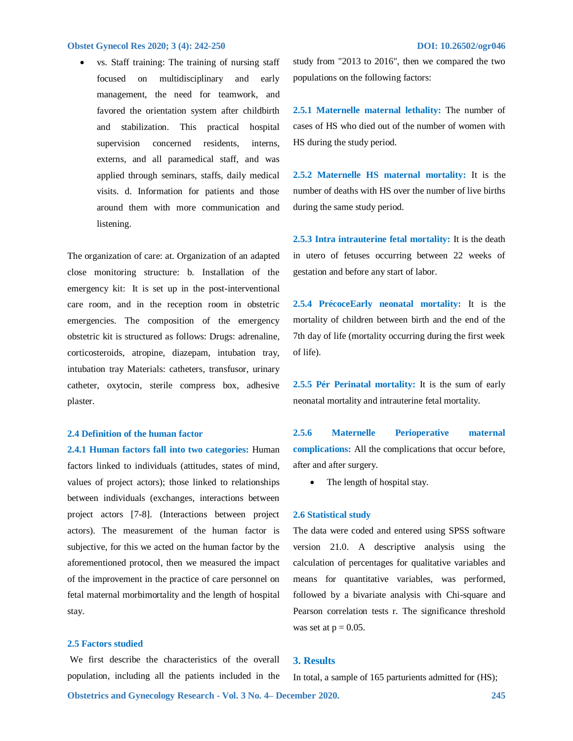vs. Staff training: The training of nursing staff focused on multidisciplinary and early management, the need for teamwork, and favored the orientation system after childbirth and stabilization. This practical hospital supervision concerned residents, interns, externs, and all paramedical staff, and was applied through seminars, staffs, daily medical visits. d. Information for patients and those around them with more communication and listening.

The organization of care: at. Organization of an adapted close monitoring structure: b. Installation of the emergency kit: It is set up in the post-interventional care room, and in the reception room in obstetric emergencies. The composition of the emergency obstetric kit is structured as follows: Drugs: adrenaline, corticosteroids, atropine, diazepam, intubation tray, intubation tray Materials: catheters, transfusor, urinary catheter, oxytocin, sterile compress box, adhesive plaster.

### **2.4 Definition of the human factor**

**2.4.1 Human factors fall into two categories:** Human factors linked to individuals (attitudes, states of mind, values of project actors); those linked to relationships between individuals (exchanges, interactions between project actors [7-8]. (Interactions between project actors). The measurement of the human factor is subjective, for this we acted on the human factor by the aforementioned protocol, then we measured the impact of the improvement in the practice of care personnel on fetal maternal morbimortality and the length of hospital stay.

# **2.5 Factors studied**

We first describe the characteristics of the overall population, including all the patients included in the

study from "2013 to 2016", then we compared the two populations on the following factors:

**2.5.1 Maternelle maternal lethality:** The number of cases of HS who died out of the number of women with HS during the study period.

**2.5.2 Maternelle HS maternal mortality:** It is the number of deaths with HS over the number of live births during the same study period.

**2.5.3 Intra intrauterine fetal mortality:** It is the death in utero of fetuses occurring between 22 weeks of gestation and before any start of labor.

**2.5.4 PrécoceEarly neonatal mortality:** It is the mortality of children between birth and the end of the 7th day of life (mortality occurring during the first week of life).

**2.5.5 Pér Perinatal mortality:** It is the sum of early neonatal mortality and intrauterine fetal mortality.

**2.5.6 Maternelle Perioperative maternal complications:** All the complications that occur before, after and after surgery.

• The length of hospital stay.

### **2.6 Statistical study**

The data were coded and entered using SPSS software version 21.0. A descriptive analysis using the calculation of percentages for qualitative variables and means for quantitative variables, was performed, followed by a bivariate analysis with Chi-square and Pearson correlation tests r. The significance threshold was set at  $p = 0.05$ .

# **3. Results**

In total, a sample of 165 parturients admitted for (HS);

**Obstetrics and Gynecology Research - Vol. 3 No. 4– December 2020. 245**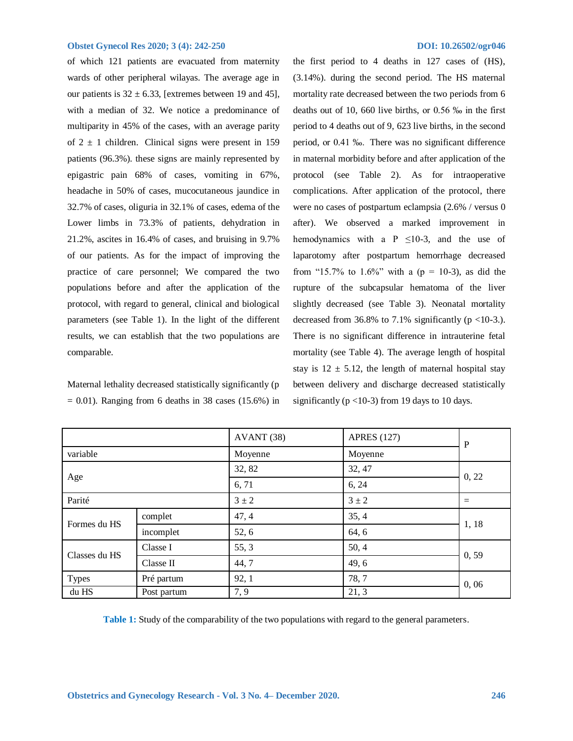of which 121 patients are evacuated from maternity wards of other peripheral wilayas. The average age in our patients is  $32 \pm 6.33$ , [extremes between 19 and 45], with a median of 32. We notice a predominance of multiparity in 45% of the cases, with an average parity of  $2 \pm 1$  children. Clinical signs were present in 159 patients (96.3%). these signs are mainly represented by epigastric pain 68% of cases, vomiting in 67%, headache in 50% of cases, mucocutaneous jaundice in 32.7% of cases, oliguria in 32.1% of cases, edema of the Lower limbs in 73.3% of patients, dehydration in 21.2%, ascites in 16.4% of cases, and bruising in 9.7% of our patients. As for the impact of improving the practice of care personnel; We compared the two populations before and after the application of the protocol, with regard to general, clinical and biological parameters (see Table 1). In the light of the different results, we can establish that the two populations are comparable.

Maternal lethality decreased statistically significantly (p  $= 0.01$ ). Ranging from 6 deaths in 38 cases (15.6%) in

the first period to 4 deaths in 127 cases of (HS), (3.14%). during the second period. The HS maternal mortality rate decreased between the two periods from 6 deaths out of 10, 660 live births, or 0.56 ‰ in the first period to 4 deaths out of 9, 623 live births, in the second period, or 0.41 ‰. There was no significant difference in maternal morbidity before and after application of the protocol (see Table 2). As for intraoperative complications. After application of the protocol, there were no cases of postpartum eclampsia (2.6% / versus 0 after). We observed a marked improvement in hemodynamics with a P  $\leq$ 10-3, and the use of laparotomy after postpartum hemorrhage decreased from "15.7% to 1.6%" with a ( $p = 10-3$ ), as did the rupture of the subcapsular hematoma of the liver slightly decreased (see Table 3). Neonatal mortality decreased from 36.8% to 7.1% significantly ( $p$  <10-3.). There is no significant difference in intrauterine fetal mortality (see Table 4). The average length of hospital stay is  $12 \pm 5.12$ , the length of maternal hospital stay between delivery and discharge decreased statistically significantly ( $p$  <10-3) from 19 days to 10 days.

|                      |            | AVANT (38) | <b>APRES</b> (127) | $\mathbf P$ |  |
|----------------------|------------|------------|--------------------|-------------|--|
| variable             |            | Moyenne    | Moyenne            |             |  |
| Age                  |            | 32, 82     | 32, 47             | 0, 22       |  |
|                      |            | 6,71       | 6, 24              |             |  |
| Parité               |            | $3 \pm 2$  | $3 \pm 2$          | $=$         |  |
| Formes du HS         | complet    | 47, 4      | 35, 4              | 1, 18       |  |
|                      | incomplet  | 52, 6      | 64, 6              |             |  |
| Classes du HS        | Classe I   | 55, 3      | 50, 4              | 0, 59       |  |
|                      | Classe II  | 44, 7      | 49, 6              |             |  |
| <b>Types</b>         | Pré partum | 92, 1      | 78, 7              | 0,06        |  |
| du HS<br>Post partum |            | 7, 9       | 21, 3              |             |  |

**Table 1:** Study of the comparability of the two populations with regard to the general parameters.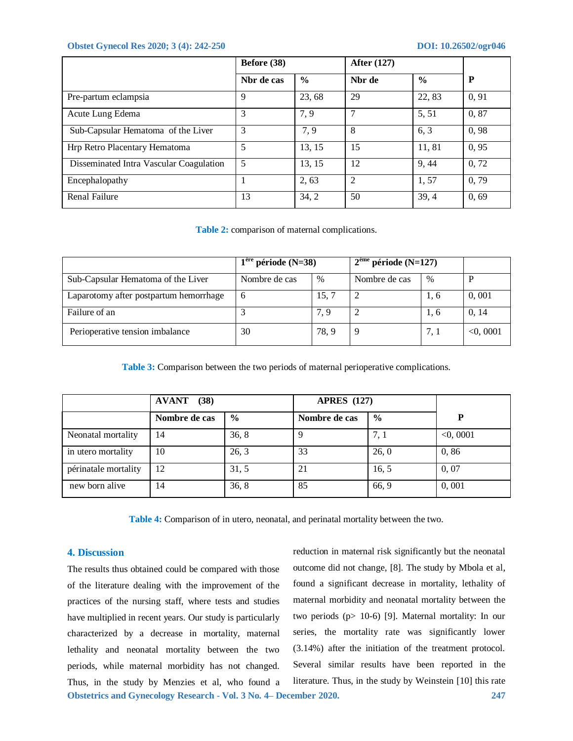|                                         | Before (38) |               | <b>After (127)</b> |               |       |
|-----------------------------------------|-------------|---------------|--------------------|---------------|-------|
|                                         | Nbr de cas  | $\frac{6}{9}$ | Nbr de             | $\frac{6}{9}$ | P     |
| Pre-partum eclampsia                    | 9           | 23, 68        | 29                 | 22, 83        | 0, 91 |
| Acute Lung Edema                        | 3           | 7,9           |                    | 5, 51         | 0,87  |
| Sub-Capsular Hematoma of the Liver      | 3           | 7,9           | 8                  | 6.3           | 0,98  |
| Hrp Retro Placentary Hematoma           | 5           | 13, 15        | 15                 | 11,81         | 0, 95 |
| Disseminated Intra Vascular Coagulation | 5           | 13, 15        | 12                 | 9.44          | 0, 72 |
| Encephalopathy                          |             | 2, 63         | 2                  | 1,57          | 0,79  |
| <b>Renal Failure</b>                    | 13          | 34, 2         | 50                 | 39,4          | 0, 69 |

**Table 2:** comparison of maternal complications.

|                                        | $1ère$ période (N=38) |               | $2eme$ période (N=127) |      |             |
|----------------------------------------|-----------------------|---------------|------------------------|------|-------------|
| Sub-Capsular Hematoma of the Liver     | Nombre de cas         | $\frac{0}{0}$ | Nombre de cas          | $\%$ |             |
| Laparotomy after postpartum hemorrhage | 6                     | 15, 7         |                        | 1, 6 | 0,001       |
| Failure of an                          |                       | 7.9           |                        | 1, 6 | 0, 14       |
| Perioperative tension imbalance        | 30                    | 78, 9         | 9                      | 7.1  | $<$ 0, 0001 |

**Table 3:** Comparison between the two periods of maternal perioperative complications.

|                      | <b>AVANT</b><br>(38) |               | <b>APRES</b> (127) |               |             |
|----------------------|----------------------|---------------|--------------------|---------------|-------------|
|                      | Nombre de cas        | $\frac{6}{6}$ | Nombre de cas      | $\frac{0}{0}$ | P           |
| Neonatal mortality   | 14                   | 36, 8         |                    | 7, 1          | $<$ 0, 0001 |
| in utero mortality   | 10                   | 26, 3         | 33                 | 26, 0         | 0,86        |
| périnatale mortality | 12                   | 31, 5         | 21                 | 16.5          | 0,07        |
| new born alive       | 14                   | 36, 8         | 85                 | 66, 9         | 0,001       |

**Table 4:** Comparison of in utero, neonatal, and perinatal mortality between the two.

# **4. Discussion**

**Obstetrics and Gynecology Research - Vol. 3 No. 4– December 2020. 247** The results thus obtained could be compared with those of the literature dealing with the improvement of the practices of the nursing staff, where tests and studies have multiplied in recent years. Our study is particularly characterized by a decrease in mortality, maternal lethality and neonatal mortality between the two periods, while maternal morbidity has not changed. Thus, in the study by Menzies et al, who found a

reduction in maternal risk significantly but the neonatal outcome did not change, [8]. The study by Mbola et al, found a significant decrease in mortality, lethality of maternal morbidity and neonatal mortality between the two periods (p> 10-6) [9]. Maternal mortality: In our series, the mortality rate was significantly lower (3.14%) after the initiation of the treatment protocol. Several similar results have been reported in the literature. Thus, in the study by Weinstein [10] this rate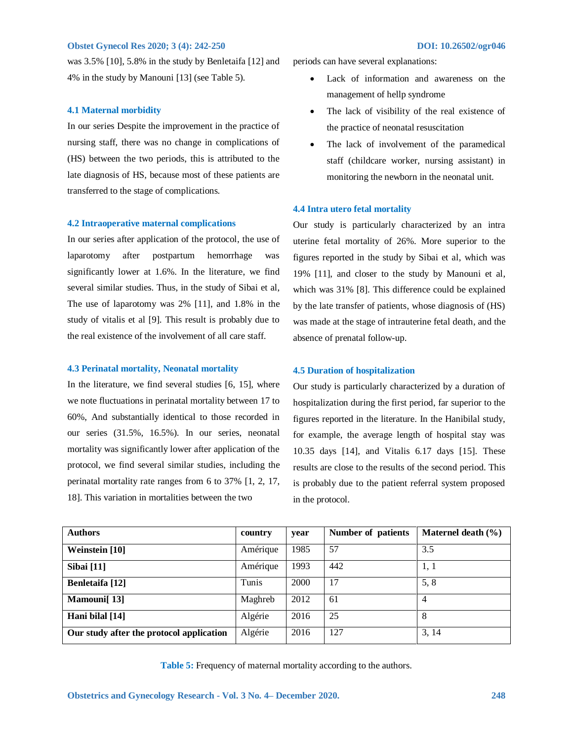was 3.5% [10], 5.8% in the study by Benletaifa [12] and 4% in the study by Manouni [13] (see Table 5).

### **4.1 Maternal morbidity**

In our series Despite the improvement in the practice of nursing staff, there was no change in complications of (HS) between the two periods, this is attributed to the late diagnosis of HS, because most of these patients are transferred to the stage of complications.

### **4.2 Intraoperative maternal complications**

In our series after application of the protocol, the use of laparotomy after postpartum hemorrhage was significantly lower at 1.6%. In the literature, we find several similar studies. Thus, in the study of Sibai et al, The use of laparotomy was 2% [11], and 1.8% in the study of vitalis et al [9]. This result is probably due to the real existence of the involvement of all care staff.

### **4.3 Perinatal mortality, Neonatal mortality**

In the literature, we find several studies [6, 15], where we note fluctuations in perinatal mortality between 17 to 60%, And substantially identical to those recorded in our series (31.5%, 16.5%). In our series, neonatal mortality was significantly lower after application of the protocol, we find several similar studies, including the perinatal mortality rate ranges from 6 to 37% [1, 2, 17, 18]. This variation in mortalities between the two

periods can have several explanations:

- Lack of information and awareness on the management of hellp syndrome
- The lack of visibility of the real existence of the practice of neonatal resuscitation
- The lack of involvement of the paramedical staff (childcare worker, nursing assistant) in monitoring the newborn in the neonatal unit.

### **4.4 Intra utero fetal mortality**

Our study is particularly characterized by an intra uterine fetal mortality of 26%. More superior to the figures reported in the study by Sibai et al, which was 19% [11], and closer to the study by Manouni et al, which was 31% [8]. This difference could be explained by the late transfer of patients, whose diagnosis of (HS) was made at the stage of intrauterine fetal death, and the absence of prenatal follow-up.

## **4.5 Duration of hospitalization**

Our study is particularly characterized by a duration of hospitalization during the first period, far superior to the figures reported in the literature. In the Hanibilal study, for example, the average length of hospital stay was 10.35 days [14], and Vitalis 6.17 days [15]. These results are close to the results of the second period. This is probably due to the patient referral system proposed in the protocol.

| <b>Authors</b>                           | country  | year | Number of patients | Maternel death $(\% )$ |
|------------------------------------------|----------|------|--------------------|------------------------|
| Weinstein [10]                           | Amérique | 1985 | 57                 | 3.5                    |
| <b>Sibai</b> [11]                        | Amérique | 1993 | 442                | 1, 1                   |
| Benletaifa [12]                          | Tunis    | 2000 | 17                 | 5, 8                   |
| Mamouni [13]                             | Maghreb  | 2012 | 61                 | 4                      |
| Hani bilal [14]                          | Algérie  | 2016 | 25                 | 8                      |
| Our study after the protocol application | Algérie  | 2016 | 127                | 3, 14                  |

**Table 5:** Frequency of maternal mortality according to the authors.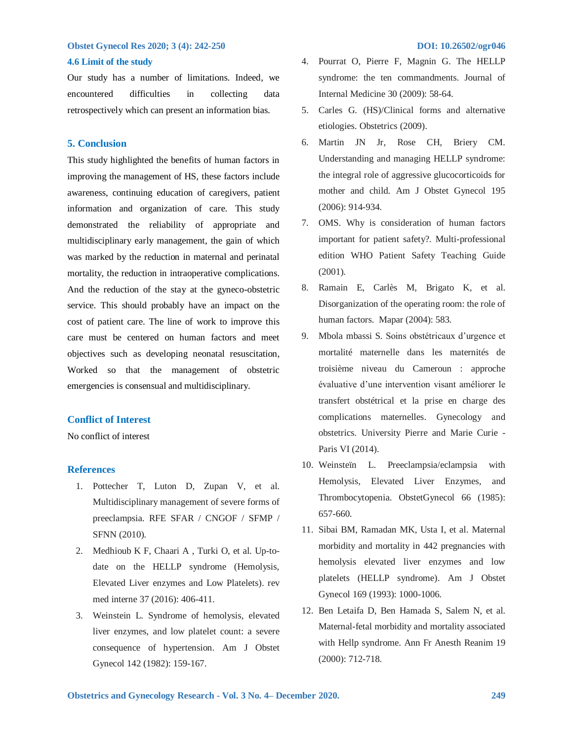### **4.6 Limit of the study**

Our study has a number of limitations. Indeed, we encountered difficulties in collecting data retrospectively which can present an information bias.

# **5. Conclusion**

This study highlighted the benefits of human factors in improving the management of HS, these factors include awareness, continuing education of caregivers, patient information and organization of care. This study demonstrated the reliability of appropriate and multidisciplinary early management, the gain of which was marked by the reduction in maternal and perinatal mortality, the reduction in intraoperative complications. And the reduction of the stay at the gyneco-obstetric service. This should probably have an impact on the cost of patient care. The line of work to improve this care must be centered on human factors and meet objectives such as developing neonatal resuscitation, Worked so that the management of obstetric emergencies is consensual and multidisciplinary.

# **Conflict of Interest**

No conflict of interest

## **References**

- 1. Pottecher T, Luton D, Zupan V, et al. Multidisciplinary management of severe forms of preeclampsia. RFE SFAR / CNGOF / SFMP / SFNN (2010).
- 2. Medhioub K F, Chaari A , Turki O, et al. Up-todate on the HELLP syndrome (Hemolysis, Elevated Liver enzymes and Low Platelets). rev med interne 37 (2016): 406-411.
- 3. Weinstein L. Syndrome of hemolysis, elevated liver enzymes, and low platelet count: a severe consequence of hypertension. Am J Obstet Gynecol 142 (1982): 159-167.
- 4. Pourrat O, Pierre F, Magnin G. The HELLP syndrome: the ten commandments. Journal of
- 5. Carles G. (HS)/Clinical forms and alternative etiologies. Obstetrics (2009).

Internal Medicine 30 (2009): 58-64.

- 6. Martin JN Jr, Rose CH, Briery CM. Understanding and managing HELLP syndrome: the integral role of aggressive glucocorticoids for mother and child. Am J Obstet Gynecol 195 (2006): 914-934.
- 7. OMS. Why is consideration of human factors important for patient safety?. Multi-professional edition WHO Patient Safety Teaching Guide (2001).
- 8. Ramain E, Carlès M, Brigato K, et al. Disorganization of the operating room: the role of human factors. Mapar (2004): 583.
- 9. Mbola mbassi S. Soins obstétricaux d'urgence et mortalité maternelle dans les maternités de troisième niveau du Cameroun : approche évaluative d'une intervention visant améliorer le transfert obstétrical et la prise en charge des complications maternelles. Gynecology and obstetrics. University Pierre and Marie Curie - Paris VI (2014).
- 10. Weinsteïn L. Preeclampsia/eclampsia with Hemolysis, Elevated Liver Enzymes, and Thrombocytopenia. ObstetGynecol 66 (1985): 657-660.
- 11. Sibai BM, Ramadan MK, Usta I, et al. Maternal morbidity and mortality in 442 pregnancies with hemolysis elevated liver enzymes and low platelets (HELLP syndrome). Am J Obstet Gynecol 169 (1993): 1000-1006.
- 12. Ben Letaifa D, Ben Hamada S, Salem N, et al. Maternal-fetal morbidity and mortality associated with Hellp syndrome. Ann Fr Anesth Reanim 19 (2000): 712-718.